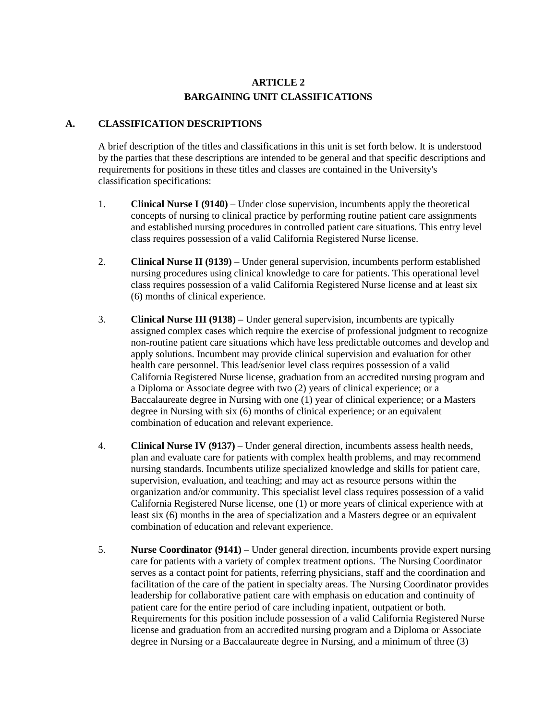## **ARTICLE 2 BARGAINING UNIT CLASSIFICATIONS**

## **A. CLASSIFICATION DESCRIPTIONS**

A brief description of the titles and classifications in this unit is set forth below. It is understood by the parties that these descriptions are intended to be general and that specific descriptions and requirements for positions in these titles and classes are contained in the University's classification specifications:

- 1. **Clinical Nurse I (9140)** Under close supervision, incumbents apply the theoretical concepts of nursing to clinical practice by performing routine patient care assignments and established nursing procedures in controlled patient care situations. This entry level class requires possession of a valid California Registered Nurse license.
- 2. **Clinical Nurse II (9139)** Under general supervision, incumbents perform established nursing procedures using clinical knowledge to care for patients. This operational level class requires possession of a valid California Registered Nurse license and at least six (6) months of clinical experience.
- 3. **Clinical Nurse III (9138)** Under general supervision, incumbents are typically assigned complex cases which require the exercise of professional judgment to recognize non-routine patient care situations which have less predictable outcomes and develop and apply solutions. Incumbent may provide clinical supervision and evaluation for other health care personnel. This lead/senior level class requires possession of a valid California Registered Nurse license, graduation from an accredited nursing program and a Diploma or Associate degree with two (2) years of clinical experience; or a Baccalaureate degree in Nursing with one (1) year of clinical experience; or a Masters degree in Nursing with six (6) months of clinical experience; or an equivalent combination of education and relevant experience.
- 4. **Clinical Nurse IV (9137)** Under general direction, incumbents assess health needs, plan and evaluate care for patients with complex health problems, and may recommend nursing standards. Incumbents utilize specialized knowledge and skills for patient care, supervision, evaluation, and teaching; and may act as resource persons within the organization and/or community. This specialist level class requires possession of a valid California Registered Nurse license, one (1) or more years of clinical experience with at least six (6) months in the area of specialization and a Masters degree or an equivalent combination of education and relevant experience.
- 5. **Nurse Coordinator (9141)** Under general direction, incumbents provide expert nursing care for patients with a variety of complex treatment options. The Nursing Coordinator serves as a contact point for patients, referring physicians, staff and the coordination and facilitation of the care of the patient in specialty areas. The Nursing Coordinator provides leadership for collaborative patient care with emphasis on education and continuity of patient care for the entire period of care including inpatient, outpatient or both. Requirements for this position include possession of a valid California Registered Nurse license and graduation from an accredited nursing program and a Diploma or Associate degree in Nursing or a Baccalaureate degree in Nursing, and a minimum of three (3)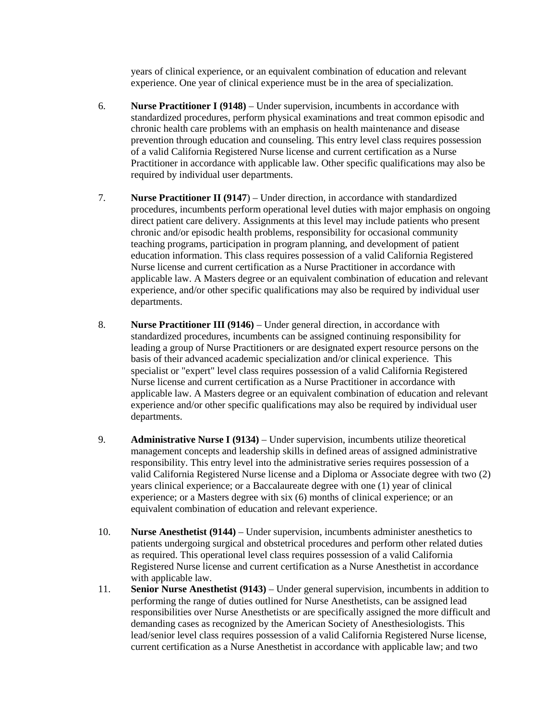years of clinical experience, or an equivalent combination of education and relevant experience. One year of clinical experience must be in the area of specialization.

- 6. **Nurse Practitioner I (9148)** Under supervision, incumbents in accordance with standardized procedures, perform physical examinations and treat common episodic and chronic health care problems with an emphasis on health maintenance and disease prevention through education and counseling. This entry level class requires possession of a valid California Registered Nurse license and current certification as a Nurse Practitioner in accordance with applicable law. Other specific qualifications may also be required by individual user departments.
- 7. **Nurse Practitioner II (9147**) Under direction, in accordance with standardized procedures, incumbents perform operational level duties with major emphasis on ongoing direct patient care delivery. Assignments at this level may include patients who present chronic and/or episodic health problems, responsibility for occasional community teaching programs, participation in program planning, and development of patient education information. This class requires possession of a valid California Registered Nurse license and current certification as a Nurse Practitioner in accordance with applicable law. A Masters degree or an equivalent combination of education and relevant experience, and/or other specific qualifications may also be required by individual user departments.
- 8. **Nurse Practitioner III (9146)** Under general direction, in accordance with standardized procedures, incumbents can be assigned continuing responsibility for leading a group of Nurse Practitioners or are designated expert resource persons on the basis of their advanced academic specialization and/or clinical experience. This specialist or "expert" level class requires possession of a valid California Registered Nurse license and current certification as a Nurse Practitioner in accordance with applicable law. A Masters degree or an equivalent combination of education and relevant experience and/or other specific qualifications may also be required by individual user departments.
- 9. **Administrative Nurse I (9134)** Under supervision, incumbents utilize theoretical management concepts and leadership skills in defined areas of assigned administrative responsibility. This entry level into the administrative series requires possession of a valid California Registered Nurse license and a Diploma or Associate degree with two (2) years clinical experience; or a Baccalaureate degree with one (1) year of clinical experience; or a Masters degree with six (6) months of clinical experience; or an equivalent combination of education and relevant experience.
- 10. **Nurse Anesthetist (9144)** Under supervision, incumbents administer anesthetics to patients undergoing surgical and obstetrical procedures and perform other related duties as required. This operational level class requires possession of a valid California Registered Nurse license and current certification as a Nurse Anesthetist in accordance with applicable law.
- 11. **Senior Nurse Anesthetist (9143)** Under general supervision, incumbents in addition to performing the range of duties outlined for Nurse Anesthetists, can be assigned lead responsibilities over Nurse Anesthetists or are specifically assigned the more difficult and demanding cases as recognized by the American Society of Anesthesiologists. This lead/senior level class requires possession of a valid California Registered Nurse license, current certification as a Nurse Anesthetist in accordance with applicable law; and two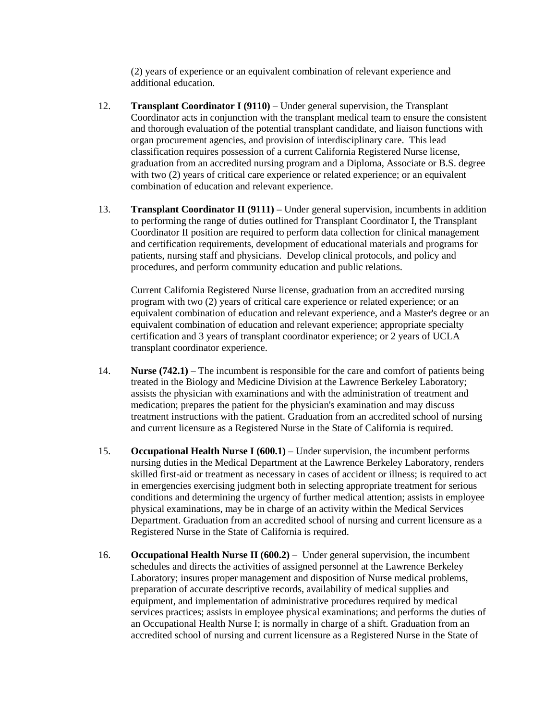(2) years of experience or an equivalent combination of relevant experience and additional education.

- 12. **Transplant Coordinator I (9110)** Under general supervision, the Transplant Coordinator acts in conjunction with the transplant medical team to ensure the consistent and thorough evaluation of the potential transplant candidate, and liaison functions with organ procurement agencies, and provision of interdisciplinary care. This lead classification requires possession of a current California Registered Nurse license, graduation from an accredited nursing program and a Diploma, Associate or B.S. degree with two (2) years of critical care experience or related experience; or an equivalent combination of education and relevant experience.
- 13. **Transplant Coordinator II (9111)** Under general supervision, incumbents in addition to performing the range of duties outlined for Transplant Coordinator I, the Transplant Coordinator II position are required to perform data collection for clinical management and certification requirements, development of educational materials and programs for patients, nursing staff and physicians. Develop clinical protocols, and policy and procedures, and perform community education and public relations.

Current California Registered Nurse license, graduation from an accredited nursing program with two (2) years of critical care experience or related experience; or an equivalent combination of education and relevant experience, and a Master's degree or an equivalent combination of education and relevant experience; appropriate specialty certification and 3 years of transplant coordinator experience; or 2 years of UCLA transplant coordinator experience.

- 14. **Nurse (742.1)** The incumbent is responsible for the care and comfort of patients being treated in the Biology and Medicine Division at the Lawrence Berkeley Laboratory; assists the physician with examinations and with the administration of treatment and medication; prepares the patient for the physician's examination and may discuss treatment instructions with the patient. Graduation from an accredited school of nursing and current licensure as a Registered Nurse in the State of California is required.
- 15. **Occupational Health Nurse I (600.1)** Under supervision, the incumbent performs nursing duties in the Medical Department at the Lawrence Berkeley Laboratory, renders skilled first-aid or treatment as necessary in cases of accident or illness; is required to act in emergencies exercising judgment both in selecting appropriate treatment for serious conditions and determining the urgency of further medical attention; assists in employee physical examinations, may be in charge of an activity within the Medical Services Department. Graduation from an accredited school of nursing and current licensure as a Registered Nurse in the State of California is required.
- 16. **Occupational Health Nurse II (600.2)** Under general supervision, the incumbent schedules and directs the activities of assigned personnel at the Lawrence Berkeley Laboratory; insures proper management and disposition of Nurse medical problems, preparation of accurate descriptive records, availability of medical supplies and equipment, and implementation of administrative procedures required by medical services practices; assists in employee physical examinations; and performs the duties of an Occupational Health Nurse I; is normally in charge of a shift. Graduation from an accredited school of nursing and current licensure as a Registered Nurse in the State of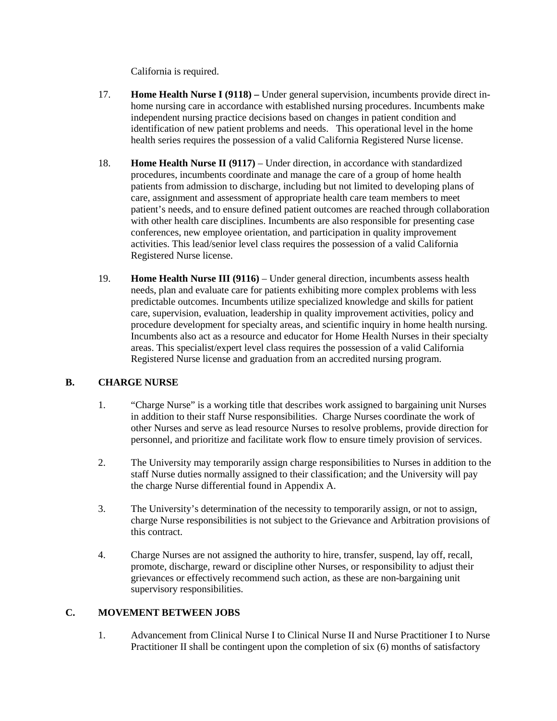California is required.

- 17. **Home Health Nurse I (9118) –** Under general supervision, incumbents provide direct inhome nursing care in accordance with established nursing procedures. Incumbents make independent nursing practice decisions based on changes in patient condition and identification of new patient problems and needs. This operational level in the home health series requires the possession of a valid California Registered Nurse license.
- 18. **Home Health Nurse II (9117)** Under direction, in accordance with standardized procedures, incumbents coordinate and manage the care of a group of home health patients from admission to discharge, including but not limited to developing plans of care, assignment and assessment of appropriate health care team members to meet patient's needs, and to ensure defined patient outcomes are reached through collaboration with other health care disciplines. Incumbents are also responsible for presenting case conferences, new employee orientation, and participation in quality improvement activities. This lead/senior level class requires the possession of a valid California Registered Nurse license.
- 19. **Home Health Nurse III (9116)** Under general direction, incumbents assess health needs, plan and evaluate care for patients exhibiting more complex problems with less predictable outcomes. Incumbents utilize specialized knowledge and skills for patient care, supervision, evaluation, leadership in quality improvement activities, policy and procedure development for specialty areas, and scientific inquiry in home health nursing. Incumbents also act as a resource and educator for Home Health Nurses in their specialty areas. This specialist/expert level class requires the possession of a valid California Registered Nurse license and graduation from an accredited nursing program.

## **B. CHARGE NURSE**

- 1. "Charge Nurse" is a working title that describes work assigned to bargaining unit Nurses in addition to their staff Nurse responsibilities. Charge Nurses coordinate the work of other Nurses and serve as lead resource Nurses to resolve problems, provide direction for personnel, and prioritize and facilitate work flow to ensure timely provision of services.
- 2. The University may temporarily assign charge responsibilities to Nurses in addition to the staff Nurse duties normally assigned to their classification; and the University will pay the charge Nurse differential found in Appendix A.
- 3. The University's determination of the necessity to temporarily assign, or not to assign, charge Nurse responsibilities is not subject to the Grievance and Arbitration provisions of this contract.
- 4. Charge Nurses are not assigned the authority to hire, transfer, suspend, lay off, recall, promote, discharge, reward or discipline other Nurses, or responsibility to adjust their grievances or effectively recommend such action, as these are non-bargaining unit supervisory responsibilities.

## **C. MOVEMENT BETWEEN JOBS**

1. Advancement from Clinical Nurse I to Clinical Nurse II and Nurse Practitioner I to Nurse Practitioner II shall be contingent upon the completion of six (6) months of satisfactory